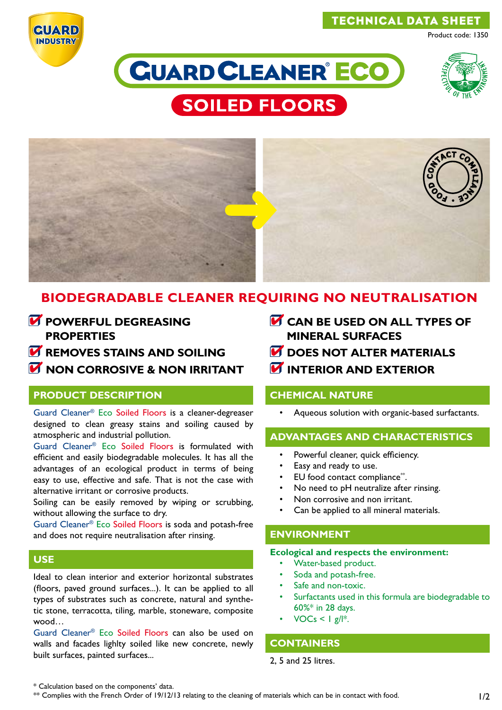# TECHNICAL DATA SHEET



Product code: 1350







# **BIODEGRADABLE CLEANER REQUIRING NO NEUTRALISATION**

- *M* POWERFUL DEGREASING **PROPERTIES**
- *M* REMOVES STAINS AND SOILING
- **M** NON CORROSIVE & NON IRRITANT

# **PRODUCT DESCRIPTION**

Guard Cleaner® Eco Soiled Floors is a cleaner-degreaser designed to clean greasy stains and soiling caused by atmospheric and industrial pollution.

Guard Cleaner® Eco Soiled Floors is formulated with efficient and easily biodegradable molecules. It has all the advantages of an ecological product in terms of being easy to use, effective and safe. That is not the case with alternative irritant or corrosive products.

Soiling can be easily removed by wiping or scrubbing, without allowing the surface to dry.

Guard Cleaner® Eco Soiled Floors is soda and potash-free and does not require neutralisation after rinsing.

# **USE**

Ideal to clean interior and exterior horizontal substrates (floors, paved ground surfaces...). It can be applied to all types of substrates such as concrete, natural and synthetic stone, terracotta, tiling, marble, stoneware, composite wood…

Guard Cleaner® Eco Soiled Floors can also be used on walls and facades lighlty soiled like new concrete, newly built surfaces, painted surfaces...

- **CAN BE USED ON ALL TYPES OF MINERAL SURFACES**
- *M* DOES NOT ALTER MATERIALS
- **INTERIOR AND EXTERIOR**

# **CHEMICAL NATURE**

• Aqueous solution with organic-based surfactants.

# **ADVANTAGES AND CHARACTERISTICS**

- Powerful cleaner, quick efficiency.
- Easy and ready to use.
- EU food contact compliance\*\*.
- No need to pH neutralize after rinsing.
- Non corrosive and non irritant.
- Can be applied to all mineral materials.

# **ENVIRONMENT**

#### **Ecological and respects the environment:**

- Water-based product.
- Soda and potash-free.
- Safe and non-toxic.
- Surfactants used in this formula are biodegradable to 60%\* in 28 days.
- $VOCs < |g||^*$ .

# **CONTAINERS**

2, 5 and 25 litres.

\* Calculation based on the components' data.